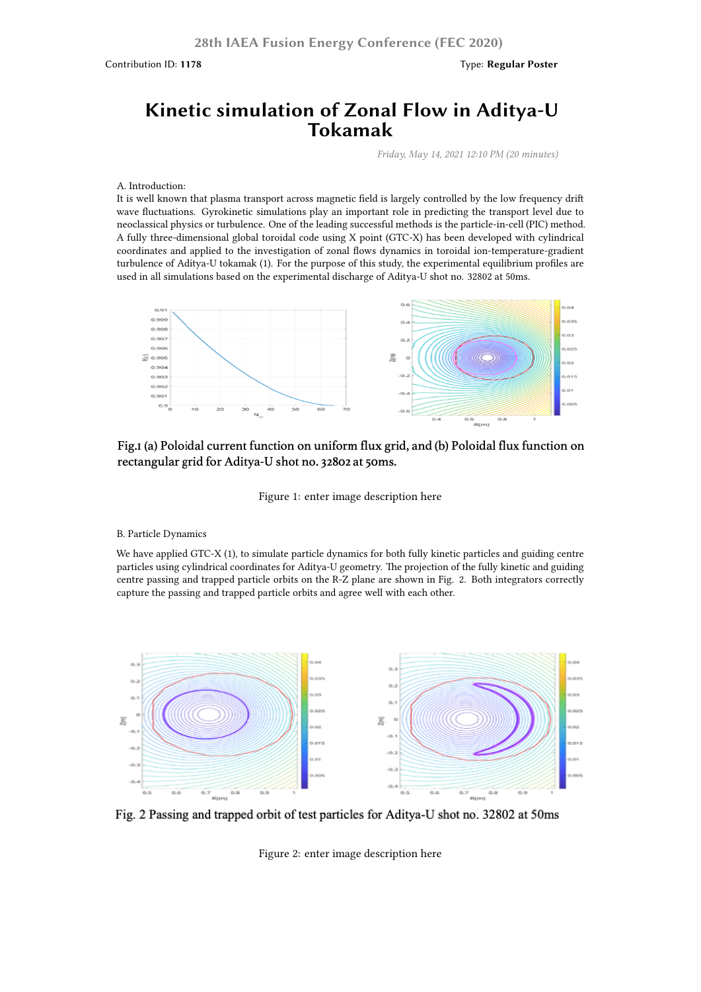# **Kinetic simulation of Zonal Flow in Aditya-U Tokamak**

**28th IAEA Fusion Energy Conference (FEC 2020)**

*Friday, May 14, 2021 12:10 PM (20 minutes)*

## A. Introduction:

It is well known that plasma transport across magnetic field is largely controlled by the low frequency drift wave fluctuations. Gyrokinetic simulations play an important role in predicting the transport level due to neoclassical physics or turbulence. One of the leading successful methods is the particle-in-cell (PIC) method. A fully three-dimensional global toroidal code using X point (GTC-X) has been developed with cylindrical coordinates and applied to the investigation of zonal flows dynamics in toroidal ion-temperature-gradient turbulence of Aditya-U tokamak (1). For the purpose of this study, the experimental equilibrium profiles are used in all simulations based on the experimental discharge of Aditya-U shot no. 32802 at 50ms.



# Fig.I (a) Poloidal current function on uniform flux grid, and (b) Poloidal flux function on rectangular grid for Aditya-U shot no. 32802 at 50ms.

#### Figure 1: enter image description here

#### B. Particle Dynamics

We have applied GTC-X (1), to simulate particle dynamics for both fully kinetic particles and guiding centre particles using cylindrical coordinates for Aditya-U geometry. The projection of the fully kinetic and guiding centre passing and trapped particle orbits on the R-Z plane are shown in Fig. 2. Both integrators correctly capture the passing and trapped particle orbits and agree well with each other.



Fig. 2 Passing and trapped orbit of test particles for Aditya-U shot no. 32802 at 50ms

Figure 2: enter image description here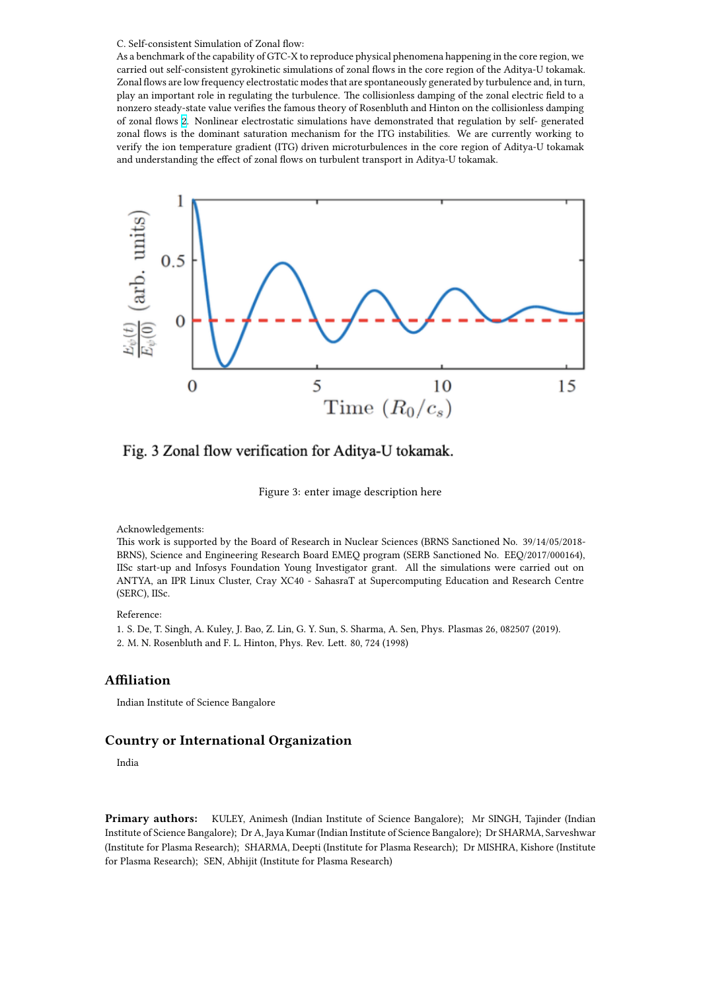As a benchmark of the capability of GTC-X to reproduce physical phenomena happening in the core region, we carried out self-consistent gyrokinetic simulations of zonal flows in the core region of the Aditya-U tokamak. Zonal flows are low frequency electrostatic modes that are spontaneously generated by turbulence and, in turn, play an important role in regulating the turbulence. The collisionless damping of the zonal electric field to a nonzero steady-state value verifies the famous theory of Rosenbluth and Hinton on the collisionless damping of zonal flows 2. Nonlinear electrostatic simulations have demonstrated that regulation by self- generated zonal flows is the dominant saturation mechanism for the ITG instabilities. We are currently working to verify the ion temperature gradient (ITG) driven microturbulences in the core region of Aditya-U tokamak and understanding the effect of zonal flows on turbulent transport in Aditya-U tokamak.



# Fig. 3 Zonal flow verification for Aditya-U tokamak.

Figure 3: enter image description here

Acknowledgements:

This work is supported by the Board of Research in Nuclear Sciences (BRNS Sanctioned No. 39/14/05/2018- BRNS), Science and Engineering Research Board EMEQ program (SERB Sanctioned No. EEQ/2017/000164), IISc start-up and Infosys Foundation Young Investigator grant. All the simulations were carried out on ANTYA, an IPR Linux Cluster, Cray XC40 - SahasraT at Supercomputing Education and Research Centre (SERC), IISc.

Reference:

1. S. De, T. Singh, A. Kuley, J. Bao, Z. Lin, G. Y. Sun, S. Sharma, A. Sen, Phys. Plasmas 26, 082507 (2019). 2. M. N. Rosenbluth and F. L. Hinton, Phys. Rev. Lett. 80, 724 (1998)

## **Affiliation**

Indian Institute of Science Bangalore

## **Country or International Organization**

India

**Primary authors:** KULEY, Animesh (Indian Institute of Science Bangalore); Mr SINGH, Tajinder (Indian Institute of Science Bangalore); Dr A, Jaya Kumar (Indian Institute of Science Bangalore); Dr SHARMA, Sarveshwar (Institute for Plasma Research); SHARMA, Deepti (Institute for Plasma Research); Dr MISHRA, Kishore (Institute for Plasma Research); SEN, Abhijit (Institute for Plasma Research)